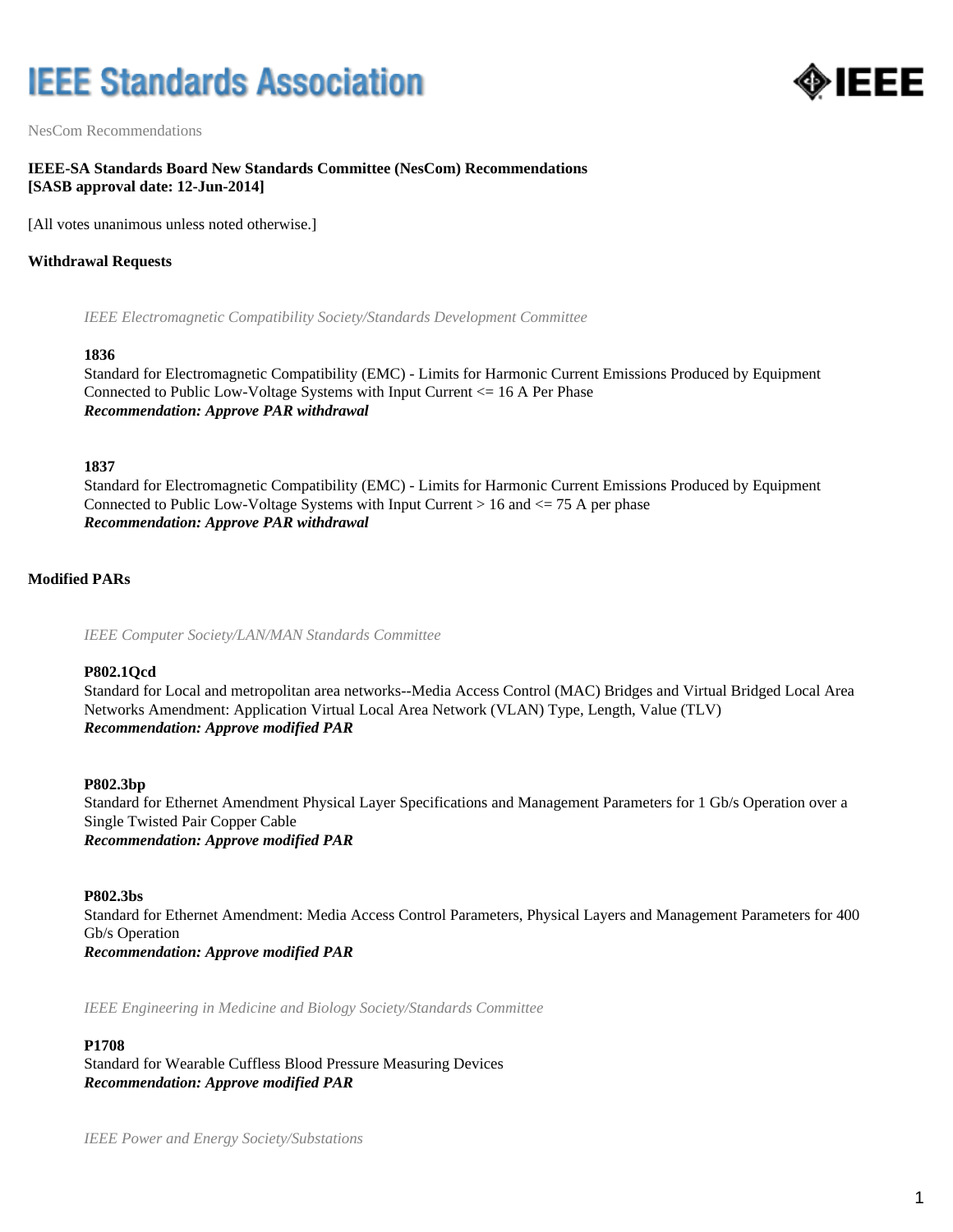# **IEEE Standards Association**



NesCom Recommendations

# **IEEE-SA Standards Board New Standards Committee (NesCom) Recommendations [SASB approval date: 12-Jun-2014]**

[All votes unanimous unless noted otherwise.]

## **Withdrawal Requests**

*IEEE Electromagnetic Compatibility Society/Standards Development Committee*

#### **1836**

Standard for Electromagnetic Compatibility (EMC) - Limits for Harmonic Current Emissions Produced by Equipment Connected to Public Low-Voltage Systems with Input Current <= 16 A Per Phase *Recommendation: Approve PAR withdrawal*

#### **1837**

Standard for Electromagnetic Compatibility (EMC) - Limits for Harmonic Current Emissions Produced by Equipment Connected to Public Low-Voltage Systems with Input Current  $> 16$  and  $\lt = 75$  A per phase *Recommendation: Approve PAR withdrawal*

## **Modified PARs**

*IEEE Computer Society/LAN/MAN Standards Committee*

#### **P802.1Qcd**

Standard for Local and metropolitan area networks--Media Access Control (MAC) Bridges and Virtual Bridged Local Area Networks Amendment: Application Virtual Local Area Network (VLAN) Type, Length, Value (TLV) *Recommendation: Approve modified PAR*

#### **P802.3bp**

Standard for Ethernet Amendment Physical Layer Specifications and Management Parameters for 1 Gb/s Operation over a Single Twisted Pair Copper Cable *Recommendation: Approve modified PAR*

### **P802.3bs**

Standard for Ethernet Amendment: Media Access Control Parameters, Physical Layers and Management Parameters for 400 Gb/s Operation *Recommendation: Approve modified PAR*

*IEEE Engineering in Medicine and Biology Society/Standards Committee*

#### **P1708**

Standard for Wearable Cuffless Blood Pressure Measuring Devices *Recommendation: Approve modified PAR*

*IEEE Power and Energy Society/Substations*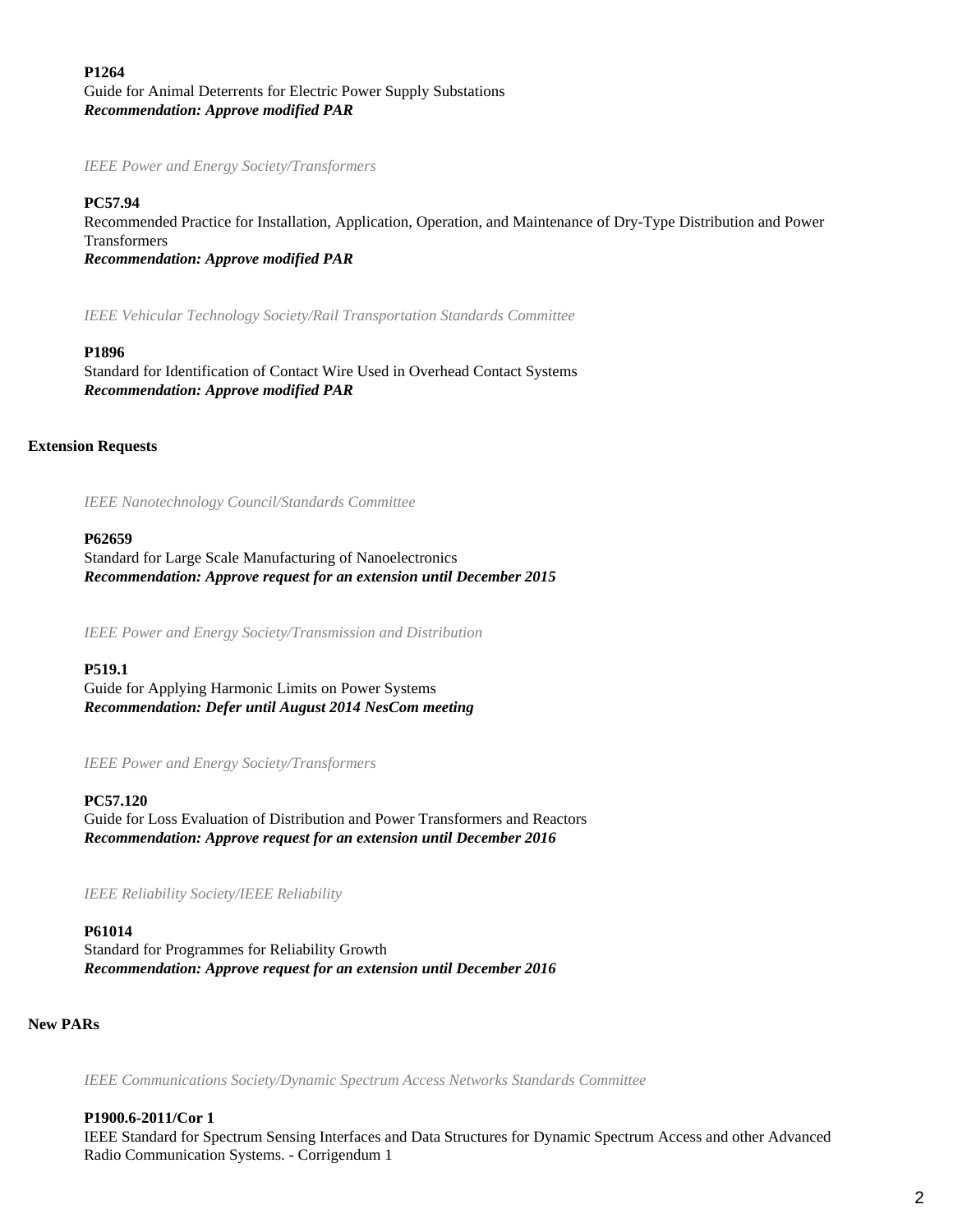**P1264** Guide for Animal Deterrents for Electric Power Supply Substations *Recommendation: Approve modified PAR*

*IEEE Power and Energy Society/Transformers*

#### **PC57.94**

Recommended Practice for Installation, Application, Operation, and Maintenance of Dry-Type Distribution and Power Transformers *Recommendation: Approve modified PAR*

*IEEE Vehicular Technology Society/Rail Transportation Standards Committee*

#### **P1896**

Standard for Identification of Contact Wire Used in Overhead Contact Systems *Recommendation: Approve modified PAR*

#### **Extension Requests**

*IEEE Nanotechnology Council/Standards Committee*

## **P62659**

Standard for Large Scale Manufacturing of Nanoelectronics *Recommendation: Approve request for an extension until December 2015*

*IEEE Power and Energy Society/Transmission and Distribution*

## **P519.1**

Guide for Applying Harmonic Limits on Power Systems *Recommendation: Defer until August 2014 NesCom meeting*

*IEEE Power and Energy Society/Transformers*

## **PC57.120**

Guide for Loss Evaluation of Distribution and Power Transformers and Reactors *Recommendation: Approve request for an extension until December 2016*

*IEEE Reliability Society/IEEE Reliability*

#### **P61014**

Standard for Programmes for Reliability Growth *Recommendation: Approve request for an extension until December 2016*

# **New PARs**

*IEEE Communications Society/Dynamic Spectrum Access Networks Standards Committee*

#### **P1900.6-2011/Cor 1**

IEEE Standard for Spectrum Sensing Interfaces and Data Structures for Dynamic Spectrum Access and other Advanced Radio Communication Systems. - Corrigendum 1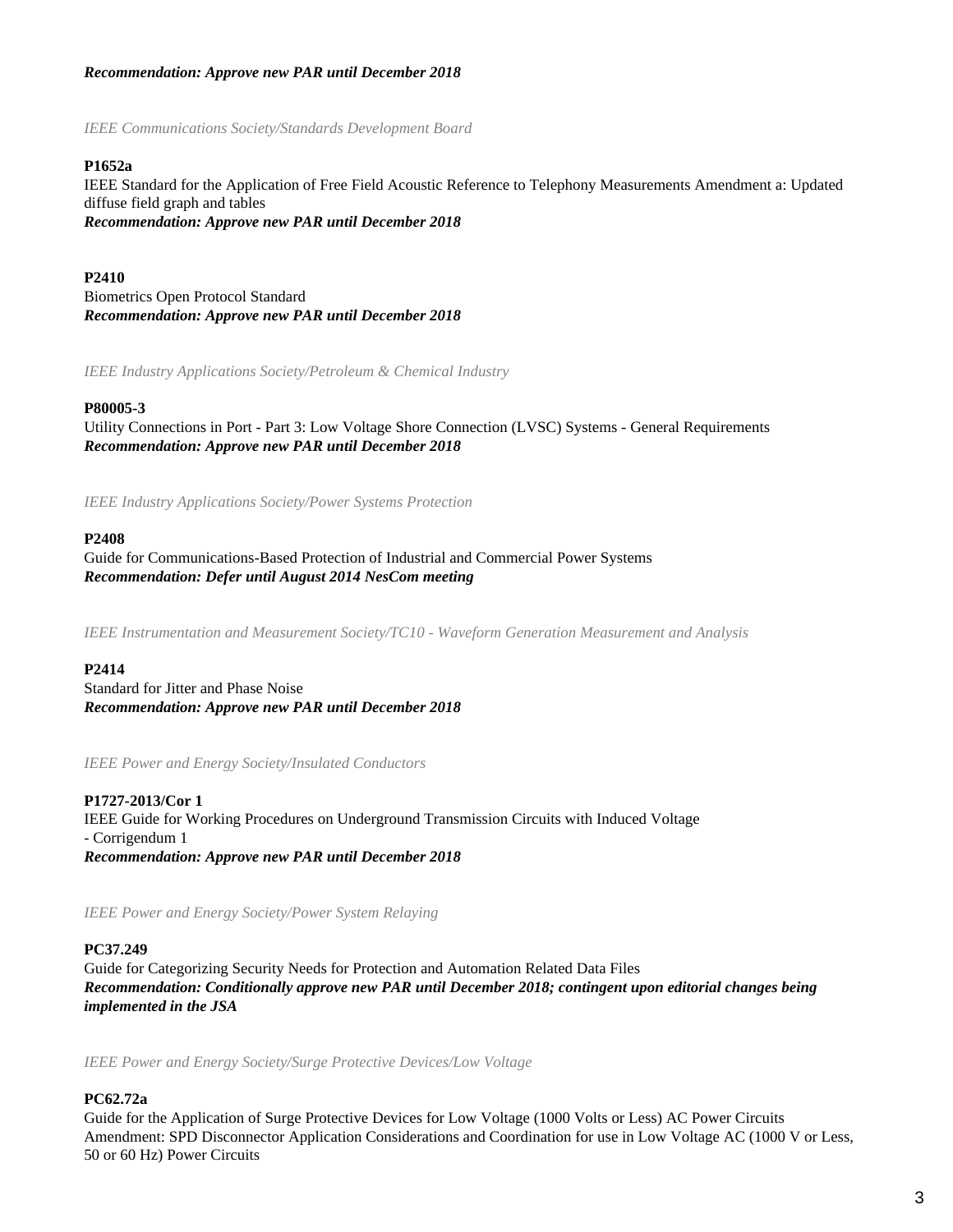# *Recommendation: Approve new PAR until December 2018*

*IEEE Communications Society/Standards Development Board*

# **P1652a**

IEEE Standard for the Application of Free Field Acoustic Reference to Telephony Measurements Amendment a: Updated diffuse field graph and tables *Recommendation: Approve new PAR until December 2018*

# **P2410**

Biometrics Open Protocol Standard *Recommendation: Approve new PAR until December 2018*

*IEEE Industry Applications Society/Petroleum & Chemical Industry*

# **P80005-3**

Utility Connections in Port - Part 3: Low Voltage Shore Connection (LVSC) Systems - General Requirements *Recommendation: Approve new PAR until December 2018*

*IEEE Industry Applications Society/Power Systems Protection*

# **P2408**

Guide for Communications-Based Protection of Industrial and Commercial Power Systems *Recommendation: Defer until August 2014 NesCom meeting*

*IEEE Instrumentation and Measurement Society/TC10 - Waveform Generation Measurement and Analysis*

# **P2414**

Standard for Jitter and Phase Noise *Recommendation: Approve new PAR until December 2018*

*IEEE Power and Energy Society/Insulated Conductors*

**P1727-2013/Cor 1** IEEE Guide for Working Procedures on Underground Transmission Circuits with Induced Voltage - Corrigendum 1 *Recommendation: Approve new PAR until December 2018*

*IEEE Power and Energy Society/Power System Relaying*

# **PC37.249**

Guide for Categorizing Security Needs for Protection and Automation Related Data Files *Recommendation: Conditionally approve new PAR until December 2018; contingent upon editorial changes being implemented in the JSA*

*IEEE Power and Energy Society/Surge Protective Devices/Low Voltage*

# **PC62.72a**

Guide for the Application of Surge Protective Devices for Low Voltage (1000 Volts or Less) AC Power Circuits Amendment: SPD Disconnector Application Considerations and Coordination for use in Low Voltage AC (1000 V or Less, 50 or 60 Hz) Power Circuits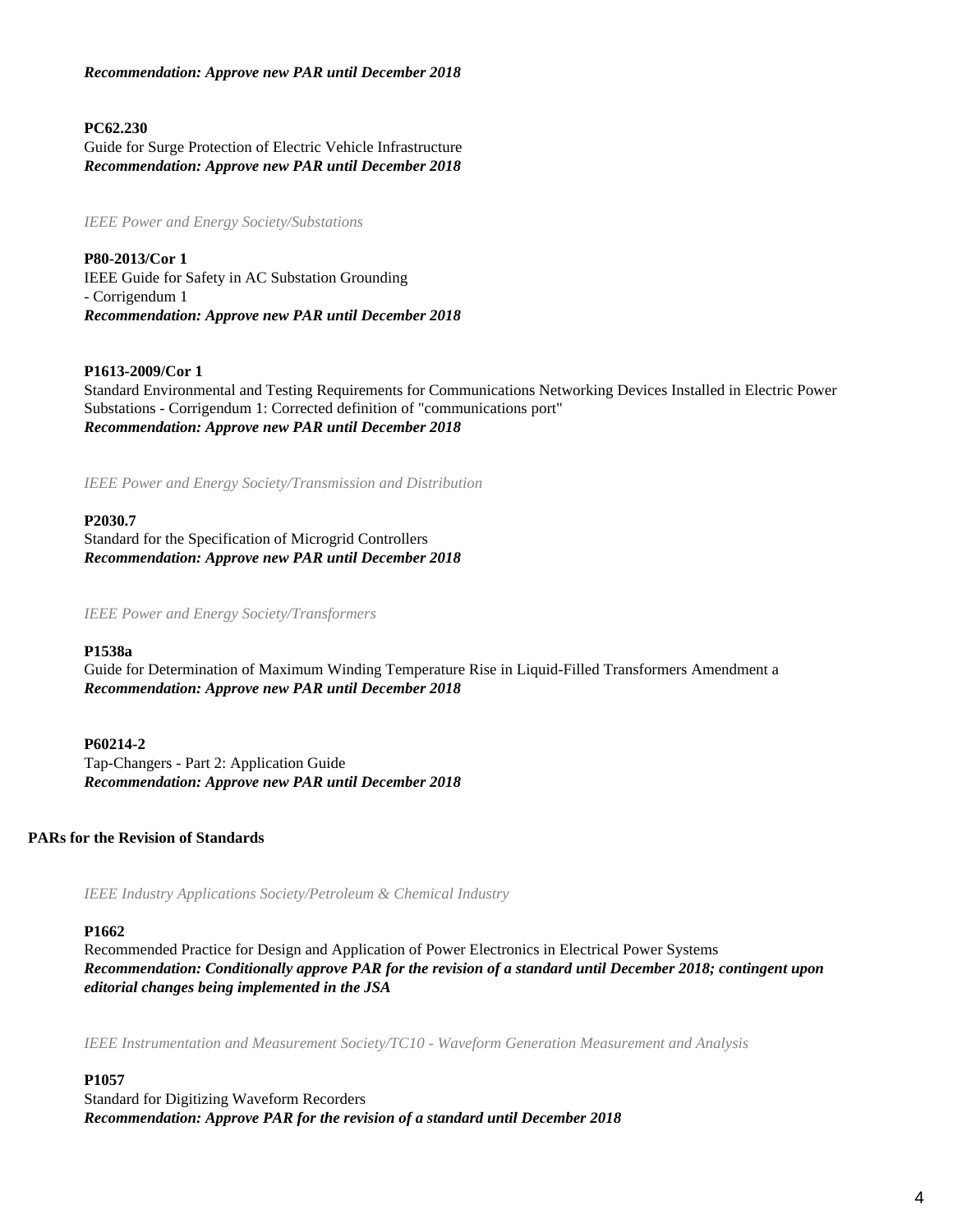# *Recommendation: Approve new PAR until December 2018*

## **PC62.230**

Guide for Surge Protection of Electric Vehicle Infrastructure *Recommendation: Approve new PAR until December 2018*

*IEEE Power and Energy Society/Substations*

**P80-2013/Cor 1** IEEE Guide for Safety in AC Substation Grounding - Corrigendum 1 *Recommendation: Approve new PAR until December 2018*

## **P1613-2009/Cor 1**

Standard Environmental and Testing Requirements for Communications Networking Devices Installed in Electric Power Substations - Corrigendum 1: Corrected definition of "communications port" *Recommendation: Approve new PAR until December 2018*

*IEEE Power and Energy Society/Transmission and Distribution*

#### **P2030.7**

Standard for the Specification of Microgrid Controllers *Recommendation: Approve new PAR until December 2018*

*IEEE Power and Energy Society/Transformers*

#### **P1538a**

Guide for Determination of Maximum Winding Temperature Rise in Liquid-Filled Transformers Amendment a *Recommendation: Approve new PAR until December 2018*

**P60214-2** Tap-Changers - Part 2: Application Guide *Recommendation: Approve new PAR until December 2018*

## **PARs for the Revision of Standards**

*IEEE Industry Applications Society/Petroleum & Chemical Industry*

#### **P1662**

Recommended Practice for Design and Application of Power Electronics in Electrical Power Systems *Recommendation: Conditionally approve PAR for the revision of a standard until December 2018; contingent upon editorial changes being implemented in the JSA*

*IEEE Instrumentation and Measurement Society/TC10 - Waveform Generation Measurement and Analysis*

#### **P1057**

Standard for Digitizing Waveform Recorders *Recommendation: Approve PAR for the revision of a standard until December 2018*